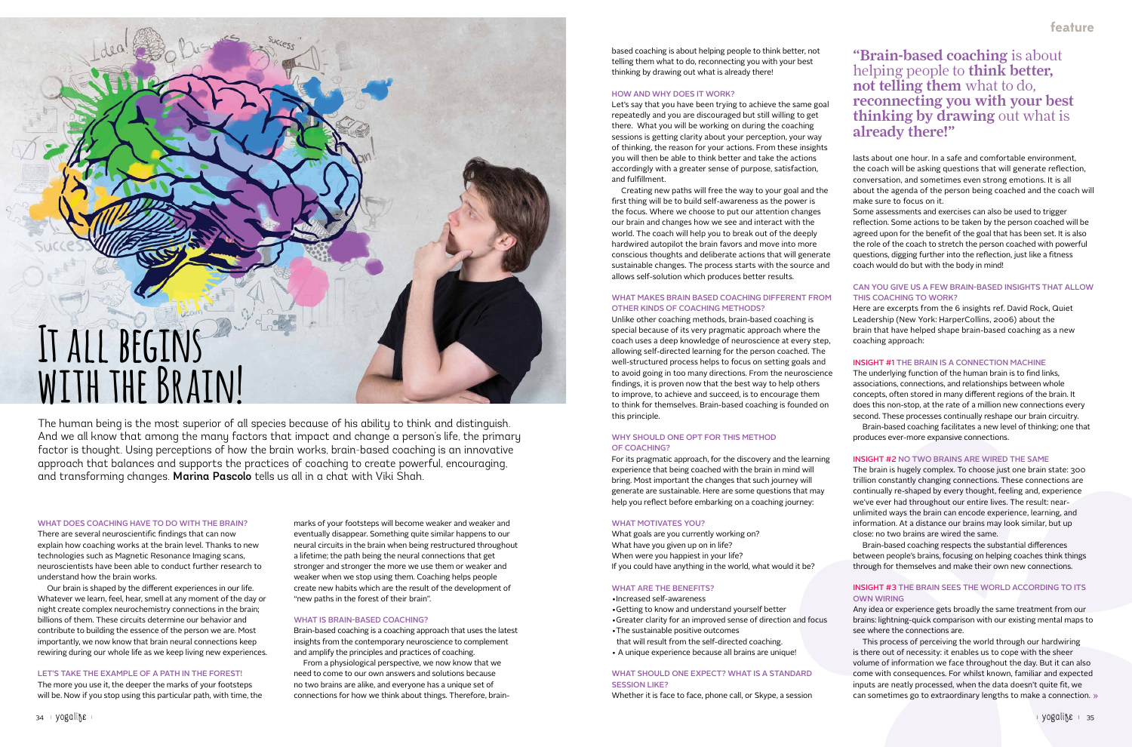# **It all begins with the Brain!**

#### WHAT DOES COACHING HAVE TO DO WITH THE BRAIN?

There are several neuroscientific findings that can now explain how coaching works at the brain level. Thanks to new technologies such as Magnetic Resonance Imaging scans, neuroscientists have been able to conduct further research to understand how the brain works.

Our brain is shaped by the different experiences in our life. Whatever we learn, feel, hear, smell at any moment of the day or night create complex neurochemistry connections in the brain; billions of them. These circuits determine our behavior and contribute to building the essence of the person we are. Most importantly, we now know that brain neural connections keep rewiring during our whole life as we keep living new experiences.

#### LET'S TAKE THE EXAMPLE OF A PATH IN THE FOREST!

The more you use it, the deeper the marks of your footsteps will be. Now if you stop using this particular path, with time, the

The human being is the most superior of all species because of his ability to think and distinguish. And we all know that among the many factors that impact and change a person's life, the primary factor is thought. Using perceptions of how the brain works, brain-based coaching is an innovative approach that balances and supports the practices of coaching to create powerful, encouraging, and transforming changes. Marina Pascolo tells us all in a chat with Viki Shah.

> marks of your footsteps will become weaker and weaker and eventually disappear. Something quite similar happens to our neural circuits in the brain when being restructured throughout a lifetime; the path being the neural connections that get stronger and stronger the more we use them or weaker and weaker when we stop using them. Coaching helps people create new habits which are the result of the development of "new paths in the forest of their brain".

## WHAT IS BRAIN-BASED COACHING?

Brain-based coaching is a coaching approach that uses the latest insights from the contemporary neuroscience to complement and amplify the principles and practices of coaching.

From a physiological perspective, we now know that we need to come to our own answers and solutions because no two brains are alike, and everyone has a unique set of connections for how we think about things. Therefore, brainbased coaching is about helping people to think better, not telling them what to do, reconnecting you with your best thinking by drawing out what is already there!

#### HOW AND WHY DOES IT WORK?

Let's say that you have been trying to achieve the same goal repeatedly and you are discouraged but still willing to get there. What you will be working on during the coaching sessions is getting clarity about your perception, your way of thinking, the reason for your actions. From these insights you will then be able to think better and take the actions accordingly with a greater sense of purpose, satisfaction, and fulfillment.

Creating new paths will free the way to your goal and the first thing will be to build self-awareness as the power is the focus. Where we choose to put our attention changes our brain and changes how we see and interact with the world. The coach will help you to break out of the deeply hardwired autopilot the brain favors and move into more conscious thoughts and deliberate actions that will generate sustainable changes. The process starts with the source and allows self-solution which produces better results.

#### WHAT MAKES BRAIN BASED COACHING DIFFERENT FROM OTHER KINDS OF COACHING METHODS?

Unlike other coaching methods, brain-based coaching is special because of its very pragmatic approach where the coach uses a deep knowledge of neuroscience at every step, allowing self-directed learning for the person coached. The well-structured process helps to focus on setting goals and to avoid going in too many directions. From the neuroscience findings, it is proven now that the best way to help others to improve, to achieve and succeed, is to encourage them to think for themselves. Brain-based coaching is founded on this principle.

## WHY SHOULD ONE OPT FOR THIS METHOD OF COACHING?

For its pragmatic approach, for the discovery and the learning experience that being coached with the brain in mind will bring. Most important the changes that such journey will generate are sustainable. Here are some questions that may help you reflect before embarking on a coaching journey:

#### WHAT MOTIVATES YOU?

What goals are you currently working on? What have you given up on in life? When were you happiest in your life? If you could have anything in the world, what would it be?

## WHAT ARE THE BENEFITS?

- •Increased self-awareness
- •Getting to know and understand yourself better
- •Greater clarity for an improved sense of direction and focus
- •The sustainable positive outcomes
- that will result from the self-directed coaching.
- A unique experience because all brains are unique!

## WHAT SHOULD ONE EXPECT? WHAT IS A STANDARD SESSION LIKE?

Whether it is face to face, phone call, or Skype, a session

lasts about one hour. In a safe and comfortable environment, the coach will be asking questions that will generate reflection, conversation, and sometimes even strong emotions. It is all about the agenda of the person being coached and the coach will make sure to focus on it.

Some assessments and exercises can also be used to trigger reflection. Some actions to be taken by the person coached will be agreed upon for the benefit of the goal that has been set. It is also the role of the coach to stretch the person coached with powerful questions, digging further into the reflection, just like a fitness coach would do but with the body in mind!

# CAN YOU GIVE US A FEW BRAIN-BASED INSIGHTS THAT ALLOW THIS COACHING TO WORK?

Here are excerpts from the 6 insights ref. David Rock, Quiet Leadership (New York: HarperCollins, 2006) about the brain that have helped shape brain-based coaching as a new coaching approach:

## INSIGHT #1 THE BRAIN IS A CONNECTION MACHINE

The underlying function of the human brain is to find links, associations, connections, and relationships between whole concepts, often stored in many different regions of the brain. It does this non-stop, at the rate of a million new connections every second. These processes continually reshape our brain circuitry.

Brain-based coaching facilitates a new level of thinking; one that produces ever-more expansive connections.

# INSIGHT #2 NO TWO BRAINS ARE WIRED THE SAME

The brain is hugely complex. To choose just one brain state: 300 trillion constantly changing connections. These connections are continually re-shaped by every thought, feeling and, experience we've ever had throughout our entire lives. The result: nearunlimited ways the brain can encode experience, learning, and information. At a distance our brains may look similar, but up close: no two brains are wired the same.

Brain-based coaching respects the substantial differences between people's brains, focusing on helping coaches think things through for themselves and make their own new connections.

# INSIGHT #3 THE BRAIN SEES THE WORLD ACCORDING TO ITS OWN WIRING

Any idea or experience gets broadly the same treatment from our brains: lightning-quick comparison with our existing mental maps to see where the connections are.

This process of perceiving the world through our hardwiring is there out of necessity: it enables us to cope with the sheer volume of information we face throughout the day. But it can also come with consequences. For whilst known, familiar and expected inputs are neatly processed, when the data doesn't quite fit, we can sometimes go to extraordinary lengths to make a connection.

"Brain-based coaching is about helping people to think better, not telling them what to do, reconnecting you with your best thinking by drawing out what is already there!"